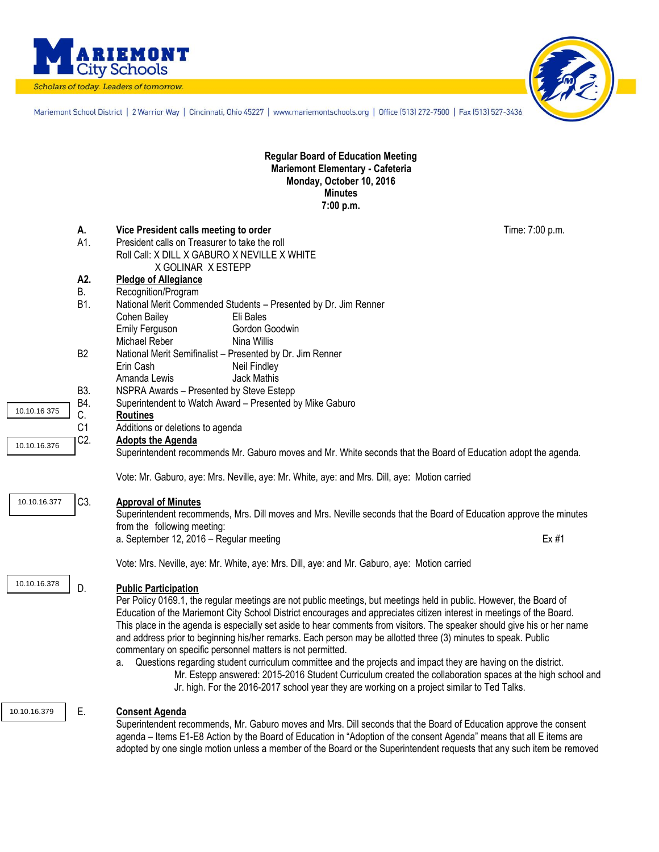

Scholars of today. Leaders of tomorrow.



Mariemont School District | 2 Warrior Way | Cincinnati, Ohio 45227 | www.mariemontschools.org | Office [513] 272-7500 | Fax [513] 527-3436

**Regular Board of Education Meeting Mariemont Elementary - Cafeteria Monday, October 10, 2016 Minutes 7:00 p.m.**

|              | А.<br>A1.        | Vice President calls meeting to order<br>President calls on Treasurer to take the roll                                                                                                                                           | Time: 7:00 p.m. |
|--------------|------------------|----------------------------------------------------------------------------------------------------------------------------------------------------------------------------------------------------------------------------------|-----------------|
|              |                  | Roll Call: X DILL X GABURO X NEVILLE X WHITE                                                                                                                                                                                     |                 |
|              | A2.              | X GOLINAR X ESTEPP<br><b>Pledge of Allegiance</b>                                                                                                                                                                                |                 |
|              | <b>B.</b>        | Recognition/Program                                                                                                                                                                                                              |                 |
|              | B1.              | National Merit Commended Students - Presented by Dr. Jim Renner                                                                                                                                                                  |                 |
|              |                  | Cohen Bailey<br>Eli Bales                                                                                                                                                                                                        |                 |
|              |                  | Emily Ferguson<br>Gordon Goodwin                                                                                                                                                                                                 |                 |
|              |                  | Michael Reber<br>Nina Willis                                                                                                                                                                                                     |                 |
|              | B <sub>2</sub>   | National Merit Semifinalist - Presented by Dr. Jim Renner                                                                                                                                                                        |                 |
|              |                  | Neil Findley<br>Erin Cash                                                                                                                                                                                                        |                 |
|              |                  | Amanda Lewis<br><b>Jack Mathis</b>                                                                                                                                                                                               |                 |
|              | B3.<br>B4.       | NSPRA Awards - Presented by Steve Estepp                                                                                                                                                                                         |                 |
| 10.10.16 375 | C.               | Superintendent to Watch Award - Presented by Mike Gaburo<br><b>Routines</b>                                                                                                                                                      |                 |
|              | C <sub>1</sub>   | Additions or deletions to agenda                                                                                                                                                                                                 |                 |
|              | C <sub>2</sub> . | <b>Adopts the Agenda</b>                                                                                                                                                                                                         |                 |
| 10.10.16.376 |                  | Superintendent recommends Mr. Gaburo moves and Mr. White seconds that the Board of Education adopt the agenda.                                                                                                                   |                 |
|              |                  | Vote: Mr. Gaburo, aye: Mrs. Neville, aye: Mr. White, aye: and Mrs. Dill, aye: Motion carried                                                                                                                                     |                 |
| 10.10.16.377 | C3.              | <b>Approval of Minutes</b>                                                                                                                                                                                                       |                 |
|              |                  | Superintendent recommends, Mrs. Dill moves and Mrs. Neville seconds that the Board of Education approve the minutes                                                                                                              |                 |
|              |                  | from the following meeting:                                                                                                                                                                                                      |                 |
|              |                  | a. September 12, 2016 - Regular meeting                                                                                                                                                                                          | Ex #1           |
|              |                  | Vote: Mrs. Neville, aye: Mr. White, aye: Mrs. Dill, aye: and Mr. Gaburo, aye: Motion carried                                                                                                                                     |                 |
| 10.10.16.378 | D.               | <b>Public Participation</b>                                                                                                                                                                                                      |                 |
|              |                  | Per Policy 0169.1, the regular meetings are not public meetings, but meetings held in public. However, the Board of                                                                                                              |                 |
|              |                  | Education of the Mariemont City School District encourages and appreciates citizen interest in meetings of the Board.                                                                                                            |                 |
|              |                  | This place in the agenda is especially set aside to hear comments from visitors. The speaker should give his or her name                                                                                                         |                 |
|              |                  | and address prior to beginning his/her remarks. Each person may be allotted three (3) minutes to speak. Public                                                                                                                   |                 |
|              |                  | commentary on specific personnel matters is not permitted.                                                                                                                                                                       |                 |
|              |                  | Questions regarding student curriculum committee and the projects and impact they are having on the district.<br>а.<br>Mr. Estepp answered: 2015-2016 Student Curriculum created the collaboration spaces at the high school and |                 |
|              |                  | Jr. high. For the 2016-2017 school year they are working on a project similar to Ted Talks.                                                                                                                                      |                 |
| 10.10.16.379 | Е.               | <b>Consent Agenda</b>                                                                                                                                                                                                            |                 |
|              |                  | Superintendent recommends, Mr. Gaburo moves and Mrs. Dill seconds that the Board of Education approve the consent                                                                                                                |                 |
|              |                  |                                                                                                                                                                                                                                  |                 |

agenda – Items E1-E8 Action by the Board of Education in "Adoption of the consent Agenda" means that all E items are adopted by one single motion unless a member of the Board or the Superintendent requests that any such item be removed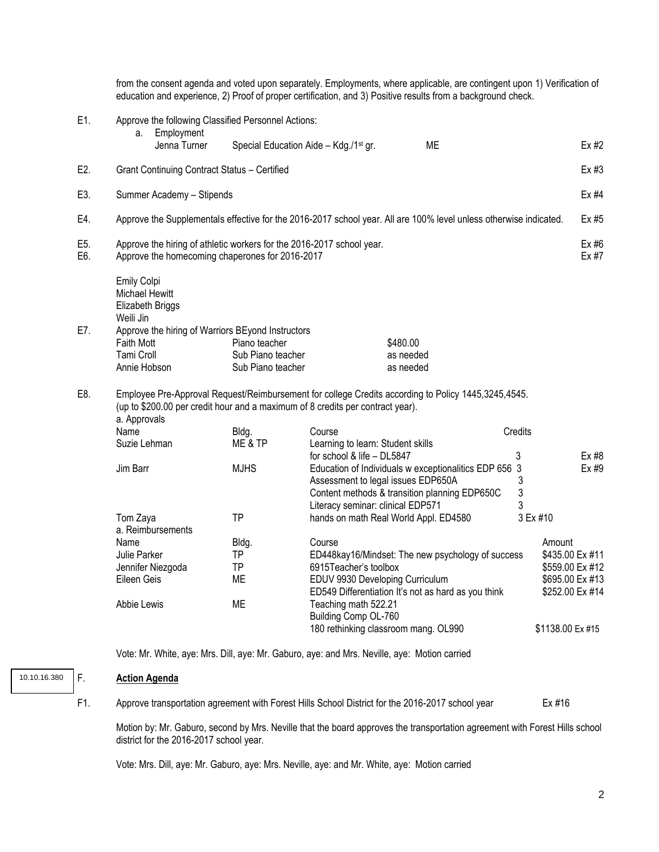|            |                                                                                                                            |                                                     | from the consent agenda and voted upon separately. Employments, where applicable, are contingent upon 1) Verification of<br>education and experience, 2) Proof of proper certification, and 3) Positive results from a background check. |             |                                    |  |
|------------|----------------------------------------------------------------------------------------------------------------------------|-----------------------------------------------------|------------------------------------------------------------------------------------------------------------------------------------------------------------------------------------------------------------------------------------------|-------------|------------------------------------|--|
| E1.        |                                                                                                                            | Approve the following Classified Personnel Actions: |                                                                                                                                                                                                                                          |             |                                    |  |
|            | Employment<br>a.<br>Jenna Turner                                                                                           | Special Education Aide - Kdg./1 <sup>st</sup> gr.   | ME                                                                                                                                                                                                                                       |             | $Ex$ #2                            |  |
| E2.        | Grant Continuing Contract Status - Certified                                                                               |                                                     |                                                                                                                                                                                                                                          |             | Ex #3                              |  |
| E3.        | Summer Academy - Stipends                                                                                                  |                                                     |                                                                                                                                                                                                                                          |             | Ex #4                              |  |
| E4.        |                                                                                                                            |                                                     | Approve the Supplementals effective for the 2016-2017 school year. All are 100% level unless otherwise indicated.                                                                                                                        |             | Ex #5                              |  |
| E5.<br>E6. | Approve the hiring of athletic workers for the 2016-2017 school year.<br>Approve the homecoming chaperones for 2016-2017   |                                                     |                                                                                                                                                                                                                                          |             | Ex #6<br>Ex #7                     |  |
| E7.        | Emily Colpi<br><b>Michael Hewitt</b><br>Elizabeth Briggs<br>Weili Jin<br>Approve the hiring of Warriors BEyond Instructors |                                                     |                                                                                                                                                                                                                                          |             |                                    |  |
|            | <b>Faith Mott</b>                                                                                                          | Piano teacher                                       | \$480.00                                                                                                                                                                                                                                 |             |                                    |  |
|            | Tami Croll<br>Annie Hobson                                                                                                 | Sub Piano teacher<br>Sub Piano teacher              | as needed<br>as needed                                                                                                                                                                                                                   |             |                                    |  |
|            |                                                                                                                            |                                                     |                                                                                                                                                                                                                                          |             |                                    |  |
| E8.        | (up to \$200.00 per credit hour and a maximum of 8 credits per contract year).<br>a. Approvals                             |                                                     | Employee Pre-Approval Request/Reimbursement for college Credits according to Policy 1445,3245,4545.                                                                                                                                      |             |                                    |  |
|            | Name                                                                                                                       | Bldg.                                               | Course                                                                                                                                                                                                                                   | Credits     |                                    |  |
|            | Suzie Lehman                                                                                                               | ME & TP                                             | Learning to learn: Student skills                                                                                                                                                                                                        |             |                                    |  |
|            | Jim Barr                                                                                                                   | <b>MJHS</b>                                         | for school & life - DL5847<br>Education of Individuals w exceptionalitics EDP 656 3                                                                                                                                                      | 3           | Ex #8<br>Ex #9                     |  |
|            |                                                                                                                            |                                                     | Assessment to legal issues EDP650A<br>Content methods & transition planning EDP650C<br>Literacy seminar: clinical EDP571                                                                                                                 | 3<br>3<br>3 |                                    |  |
|            | Tom Zaya<br>a. Reimbursements                                                                                              | TP                                                  | hands on math Real World Appl. ED4580                                                                                                                                                                                                    | 3 Ex #10    |                                    |  |
|            | Name                                                                                                                       | Bldg.                                               | Course                                                                                                                                                                                                                                   | Amount      |                                    |  |
|            | Julie Parker                                                                                                               | <b>TP</b>                                           | ED448kay16/Mindset: The new psychology of success                                                                                                                                                                                        |             | \$435.00 Ex #11                    |  |
|            | Jennifer Niezgoda                                                                                                          | ΤP                                                  | 6915Teacher's toolbox                                                                                                                                                                                                                    |             | \$559.00 Ex #12                    |  |
|            | Eileen Geis                                                                                                                | ME                                                  | EDUV 9930 Developing Curriculum<br>ED549 Differentiation It's not as hard as you think                                                                                                                                                   |             | \$695.00 Ex #13<br>\$252.00 Ex #14 |  |
|            | Abbie Lewis                                                                                                                | ME                                                  | Teaching math 522.21<br>Building Comp OL-760                                                                                                                                                                                             |             |                                    |  |
|            |                                                                                                                            |                                                     | 180 rethinking classroom mang. OL990                                                                                                                                                                                                     |             | \$1138.00 Ex #15                   |  |

Vote: Mr. White, aye: Mrs. Dill, aye: Mr. Gaburo, aye: and Mrs. Neville, aye: Motion carried

## F. **Action Agenda**

10.10.16.380

F1. Approve transportation agreement with Forest Hills School District for the 2016-2017 school year Ex #16

Motion by: Mr. Gaburo, second by Mrs. Neville that the board approves the transportation agreement with Forest Hills school district for the 2016-2017 school year.

Vote: Mrs. Dill, aye: Mr. Gaburo, aye: Mrs. Neville, aye: and Mr. White, aye: Motion carried